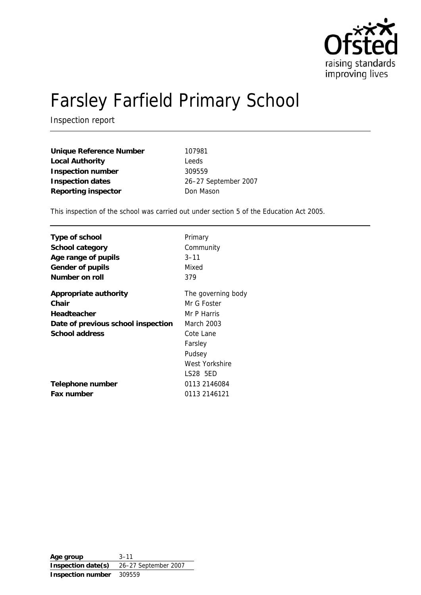

# Farsley Farfield Primary School

Inspection report

| <b>Unique Reference Number</b> | 107981               |
|--------------------------------|----------------------|
| <b>Local Authority</b>         | Leeds                |
| <b>Inspection number</b>       | 309559               |
| <b>Inspection dates</b>        | 26-27 September 2007 |
| <b>Reporting inspector</b>     | Don Mason            |

This inspection of the school was carried out under section 5 of the Education Act 2005.

| Type of school                     | Primary            |
|------------------------------------|--------------------|
| School category                    | Community          |
| Age range of pupils                | $3 - 11$           |
| <b>Gender of pupils</b>            | Mixed              |
| Number on roll                     | 379                |
| <b>Appropriate authority</b>       | The governing body |
| Chair                              | Mr G Foster        |
| <b>Headteacher</b>                 | Mr P Harris        |
| Date of previous school inspection | March 2003         |
| <b>School address</b>              | Cote Lane          |
|                                    | Farsley            |
|                                    | Pudsey             |
|                                    | West Yorkshire     |
|                                    | LS28 5ED           |
| Telephone number                   | 0113 2146084       |
| <b>Fax number</b>                  | 0113 2146121       |

**Age group** 3–11 **Inspection date(s)** 26–27 September 2007 **Inspection number** 309559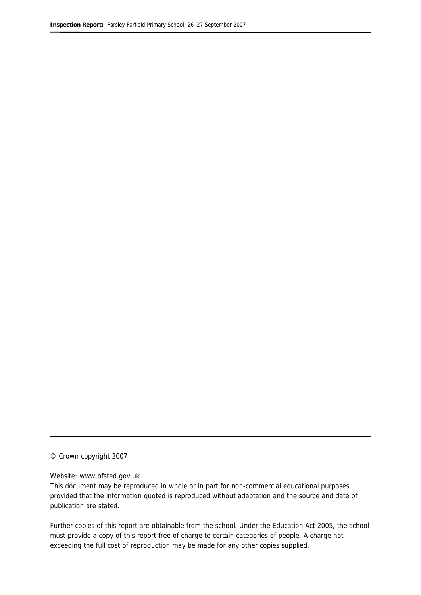© Crown copyright 2007

### Website: www.ofsted.gov.uk

This document may be reproduced in whole or in part for non-commercial educational purposes, provided that the information quoted is reproduced without adaptation and the source and date of publication are stated.

Further copies of this report are obtainable from the school. Under the Education Act 2005, the school must provide a copy of this report free of charge to certain categories of people. A charge not exceeding the full cost of reproduction may be made for any other copies supplied.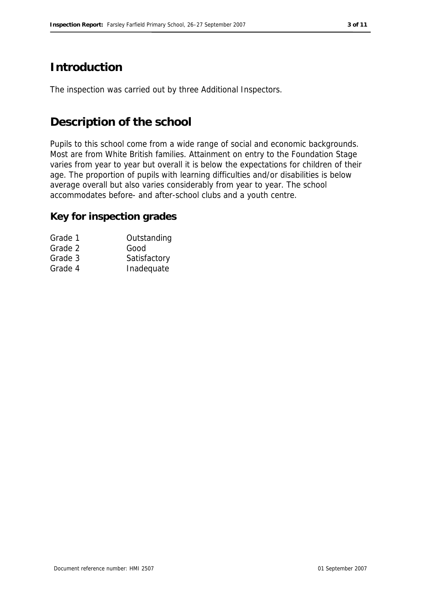# **Introduction**

The inspection was carried out by three Additional Inspectors.

# **Description of the school**

Pupils to this school come from a wide range of social and economic backgrounds. Most are from White British families. Attainment on entry to the Foundation Stage varies from year to year but overall it is below the expectations for children of their age. The proportion of pupils with learning difficulties and/or disabilities is below average overall but also varies considerably from year to year. The school accommodates before- and after-school clubs and a youth centre.

# **Key for inspection grades**

| Grade 1 | Outstanding  |
|---------|--------------|
| Grade 2 | Good         |
| Grade 3 | Satisfactory |
| Grade 4 | Inadequate   |
|         |              |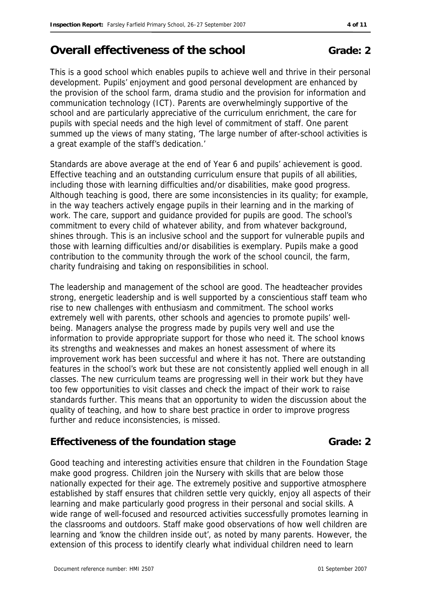# **Overall effectiveness of the school Grade: 2**

This is a good school which enables pupils to achieve well and thrive in their personal development. Pupils' enjoyment and good personal development are enhanced by the provision of the school farm, drama studio and the provision for information and communication technology (ICT). Parents are overwhelmingly supportive of the school and are particularly appreciative of the curriculum enrichment, the care for pupils with special needs and the high level of commitment of staff. One parent summed up the views of many stating, 'The large number of after-school activities is a great example of the staff's dedication.'

Standards are above average at the end of Year 6 and pupils' achievement is good. Effective teaching and an outstanding curriculum ensure that pupils of all abilities, including those with learning difficulties and/or disabilities, make good progress. Although teaching is good, there are some inconsistencies in its quality; for example, in the way teachers actively engage pupils in their learning and in the marking of work. The care, support and guidance provided for pupils are good. The school's commitment to every child of whatever ability, and from whatever background, shines through. This is an inclusive school and the support for vulnerable pupils and those with learning difficulties and/or disabilities is exemplary. Pupils make a good contribution to the community through the work of the school council, the farm, charity fundraising and taking on responsibilities in school.

The leadership and management of the school are good. The headteacher provides strong, energetic leadership and is well supported by a conscientious staff team who rise to new challenges with enthusiasm and commitment. The school works extremely well with parents, other schools and agencies to promote pupils' wellbeing. Managers analyse the progress made by pupils very well and use the information to provide appropriate support for those who need it. The school knows its strengths and weaknesses and makes an honest assessment of where its improvement work has been successful and where it has not. There are outstanding features in the school's work but these are not consistently applied well enough in all classes. The new curriculum teams are progressing well in their work but they have too few opportunities to visit classes and check the impact of their work to raise standards further. This means that an opportunity to widen the discussion about the quality of teaching, and how to share best practice in order to improve progress further and reduce inconsistencies, is missed.

### **Effectiveness of the foundation stage Grade: 2**

Good teaching and interesting activities ensure that children in the Foundation Stage make good progress. Children join the Nursery with skills that are below those nationally expected for their age. The extremely positive and supportive atmosphere established by staff ensures that children settle very quickly, enjoy all aspects of their learning and make particularly good progress in their personal and social skills. A warming and the licensed and resourced activities successfully promotes learning in the classrooms and outdoors. Staff make good observations of how well children are learning and 'know the children inside out', as noted by many parents. However, the extension of this process to identify clearly what individual children need to learn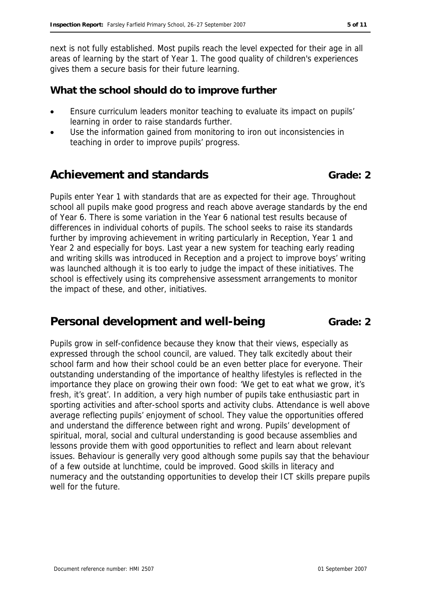next is not fully established. Most pupils reach the level expected for their age in all areas of learning by the start of Year 1. The good quality of children's experiences gives them a secure basis for their future learning.

### **What the school should do to improve further**

- Ensure curriculum leaders monitor teaching to evaluate its impact on pupils' learning in order to raise standards further.
- Use the information gained from monitoring to iron out inconsistencies in teaching in order to improve pupils' progress.

# Achievement and standards **Grade:** 2

Pupils enter Year 1 with standards that are as expected for their age. Throughout school all pupils make good progress and reach above average standards by the end of Year 6. There is some variation in the Year 6 national test results because of differences in individual cohorts of pupils. The school seeks to raise its standards further by improving achievement in writing particularly in Reception, Year 1 and Year 2 and especially for boys. Last year a new system for teaching early reading and writing skills was introduced in Reception and a project to improve boys' writing was launched although it is too early to judge the impact of these initiatives. The school is effectively using its comprehensive assessment arrangements to monitor the impact of these, and other, initiatives.

# **Personal development and well-being Figure 4 Constant Grade: 2**

Pupils grow in self-confidence because they know that their views, especially as expressed through the school council, are valued. They talk excitedly about their school farm and how their school could be an even better place for everyone. Their outstanding understanding of the importance of healthy lifestyles is reflected in the importance they place on growing their own food: 'We get to eat what we grow, it's fresh, it's great'. In addition, a very high number of pupils take enthusiastic part in sporting activities and after-school sports and activity clubs. Attendance is well above average reflecting pupils' enjoyment of school. They value the opportunities offered and understand the difference between right and wrong. Pupils' development of spiritual, moral, social and cultural understanding is good because assemblies and lessons provide them with good opportunities to reflect and learn about relevant issues. Behaviour is generally very good although some pupils say that the behaviour of a few outside at lunchtime, could be improved. Good skills in literacy and numeracy and the outstanding opportunities to develop their ICT skills prepare pupils well for the future.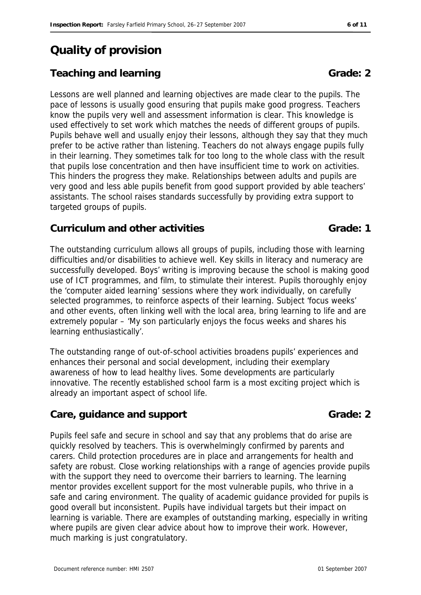# **Quality of provision**

# **Teaching and learning Grade: 2 Grade: 2**

Lessons are well planned and learning objectives are made clear to the pupils. The pace of lessons is usually good ensuring that pupils make good progress. Teachers know the pupils very well and assessment information is clear. This knowledge is used effectively to set work which matches the needs of different groups of pupils. Pupils behave well and usually enjoy their lessons, although they say that they much prefer to be active rather than listening. Teachers do not always engage pupils fully in their learning. They sometimes talk for too long to the whole class with the result that pupils lose concentration and then have insufficient time to work on activities. This hinders the progress they make. Relationships between adults and pupils are very good and less able pupils benefit from good support provided by able teachers' assistants. The school raises standards successfully by providing extra support to targeted groups of pupils.

### **Curriculum and other activities Curriculum and other activities Curriculum Canade: 1**

The outstanding curriculum allows all groups of pupils, including those with learning difficulties and/or disabilities to achieve well. Key skills in literacy and numeracy are successfully developed. Boys' writing is improving because the school is making good use of ICT programmes, and film, to stimulate their interest. Pupils thoroughly enjoy the 'computer aided learning' sessions where they work individually, on carefully selected programmes, to reinforce aspects of their learning. Subject 'focus weeks' and other events, often linking well with the local area, bring learning to life and are extremely popular – 'My son particularly enjoys the focus weeks and shares his learning enthusiastically'.

The outstanding range of out-of-school activities broadens pupils' experiences and enhances their personal and social development, including their exemplary awareness of how to lead healthy lives. Some developments are particularly innovative. The recently established school farm is a most exciting project which is already an important aspect of school life.

# **Care, guidance and support Grade: 2 Grade: 2**

Pupils feel safe and secure in school and say that any problems that do arise are quickly resolved by teachers. This is overwhelmingly confirmed by parents and carers. Child protection procedures are in place and arrangements for health and safety are robust. Close working relationships with a range of agencies provide pupils with the support they need to overcome their barriers to learning. The learning mentor provides excellent support for the most vulnerable pupils, who thrive in a safe and caring environment. The quality of academic guidance provided for pupils is good overall but inconsistent. Pupils have individual targets but their impact on learning is variable. There are examples of outstanding marking, especially in writing where pupils are given clear advice about how to improve their work. However, much marking is just congratulatory.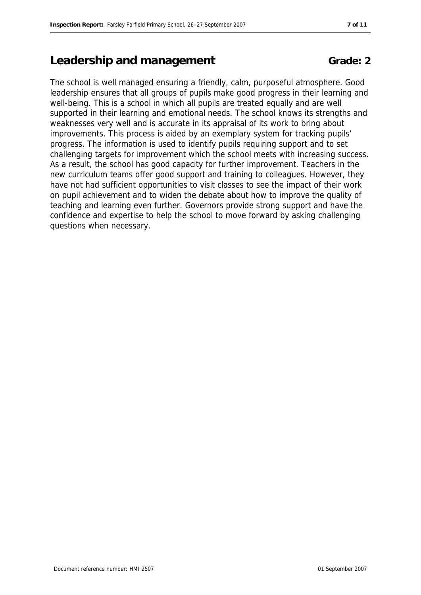# **Leadership and management Grade: 2** Grade: 2

The school is well managed ensuring a friendly, calm, purposeful atmosphere. Good leadership ensures that all groups of pupils make good progress in their learning and well-being. This is a school in which all pupils are treated equally and are well supported in their learning and emotional needs. The school knows its strengths and weaknesses very well and is accurate in its appraisal of its work to bring about improvements. This process is aided by an exemplary system for tracking pupils' progress. The information is used to identify pupils requiring support and to set challenging targets for improvement which the school meets with increasing success. As a result, the school has good capacity for further improvement. Teachers in the new curriculum teams offer good support and training to colleagues. However, they have not had sufficient opportunities to visit classes to see the impact of their work on pupil achievement and to widen the debate about how to improve the quality of teaching and learning even further. Governors provide strong support and have the confidence and expertise to help the school to move forward by asking challenging questions when necessary.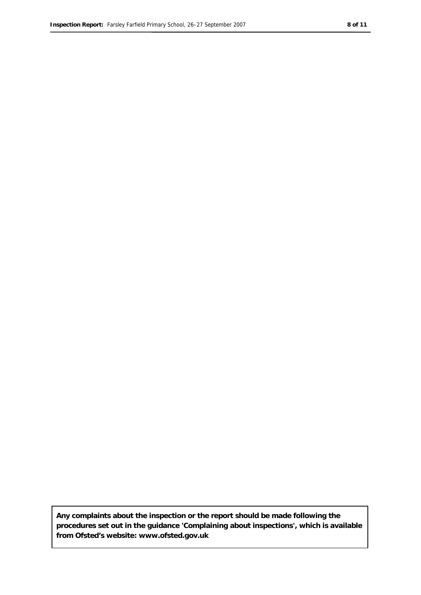**Any complaints about the inspection or the report should be made following the procedures set out in the guidance 'Complaining about inspections', which is available from Ofsted's website: www.ofsted.gov.uk**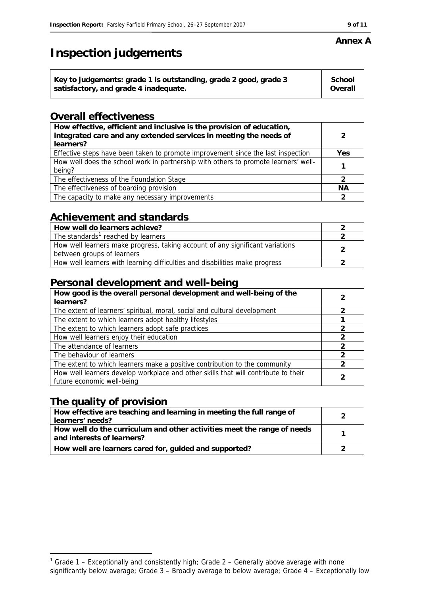# **Inspection judgements**

| Key to judgements: grade 1 is outstanding, grade 2 good, grade 3 | <b>School</b> |
|------------------------------------------------------------------|---------------|
| satisfactory, and grade 4 inadequate.                            | Overall       |
|                                                                  |               |

### **Overall effectiveness**

| How effective, efficient and inclusive is the provision of education,<br>integrated care and any extended services in meeting the needs of<br>learners? |           |
|---------------------------------------------------------------------------------------------------------------------------------------------------------|-----------|
| Effective steps have been taken to promote improvement since the last inspection                                                                        | Yes       |
| How well does the school work in partnership with others to promote learners' well-<br>being?                                                           |           |
| The effectiveness of the Foundation Stage                                                                                                               |           |
| The effectiveness of boarding provision                                                                                                                 | <b>NA</b> |
| The capacity to make any necessary improvements                                                                                                         |           |

# **Achievement and standards**

| How well do learners achieve?                                                                               |  |
|-------------------------------------------------------------------------------------------------------------|--|
| The standards <sup>1</sup> reached by learners                                                              |  |
| How well learners make progress, taking account of any significant variations<br>between groups of learners |  |
| How well learners with learning difficulties and disabilities make progress                                 |  |

### **Personal development and well-being**

| How good is the overall personal development and well-being of the<br>learners?                                  | 2 |
|------------------------------------------------------------------------------------------------------------------|---|
| The extent of learners' spiritual, moral, social and cultural development                                        |   |
| The extent to which learners adopt healthy lifestyles                                                            |   |
| The extent to which learners adopt safe practices                                                                |   |
| How well learners enjoy their education                                                                          |   |
| The attendance of learners                                                                                       |   |
| The behaviour of learners                                                                                        |   |
| The extent to which learners make a positive contribution to the community                                       | 2 |
| How well learners develop workplace and other skills that will contribute to their<br>future economic well-being |   |

### **The quality of provision**

-

| How effective are teaching and learning in meeting the full range of<br>learners' needs?              |  |
|-------------------------------------------------------------------------------------------------------|--|
| How well do the curriculum and other activities meet the range of needs<br>and interests of learners? |  |
| How well are learners cared for, guided and supported?                                                |  |

### **Annex A**

<span id="page-8-0"></span><sup>&</sup>lt;sup>1</sup> Grade 1 – Exceptionally and consistently high; Grade 2 – Generally above average with none significantly below average; Grade 3 – Broadly average to below average; Grade 4 – Exceptionally low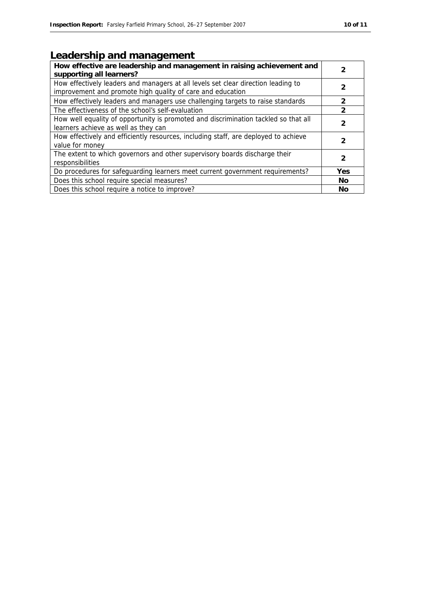# **Leadership and management**

| How effective are leadership and management in raising achievement and<br>supporting all learners?                                              |                |
|-------------------------------------------------------------------------------------------------------------------------------------------------|----------------|
| How effectively leaders and managers at all levels set clear direction leading to<br>improvement and promote high quality of care and education | 2              |
| How effectively leaders and managers use challenging targets to raise standards                                                                 | $\mathfrak{p}$ |
| The effectiveness of the school's self-evaluation                                                                                               | $\overline{2}$ |
| How well equality of opportunity is promoted and discrimination tackled so that all<br>learners achieve as well as they can                     | 2              |
| How effectively and efficiently resources, including staff, are deployed to achieve<br>value for money                                          | 2              |
| The extent to which governors and other supervisory boards discharge their<br>responsibilities                                                  | 2              |
| Do procedures for safeguarding learners meet current government requirements?                                                                   | Yes            |
| Does this school require special measures?                                                                                                      | <b>No</b>      |
| Does this school require a notice to improve?                                                                                                   | No             |